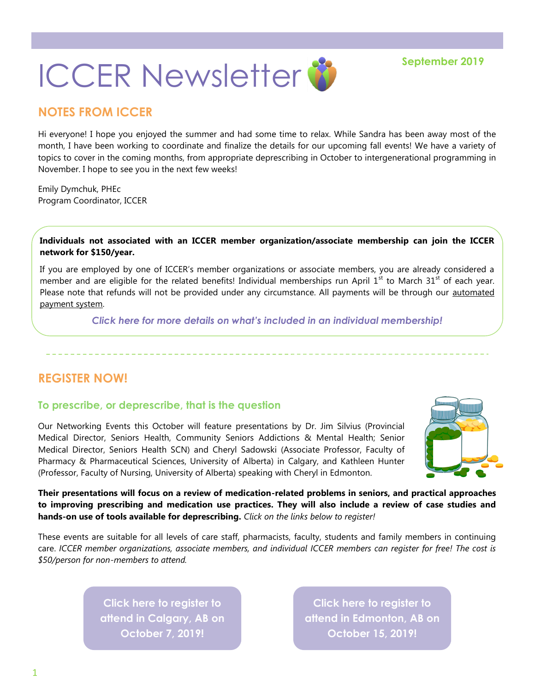# **ICCER Newsletter & September 2019**

## **NOTES FROM ICCER**

Hi everyone! I hope you enjoyed the summer and had some time to relax. While Sandra has been away most of the month, I have been working to coordinate and finalize the details for our upcoming fall events! We have a variety of topics to cover in the coming months, from appropriate deprescribing in October to intergenerational programming in November. I hope to see you in the next few weeks!

Emily Dymchuk, PHEc Program Coordinator, ICCER

**Individuals not associated with an ICCER member organization/associate membership can join the ICCER network for \$150/year.**

If you are employed by one of ICCER's member organizations or associate members, you are already considered a member and are eligible for the related benefits! Individual memberships run April  $1<sup>st</sup>$  to March 31<sup>st</sup> of each year. Please note that refunds will not be provided under any circumstance. All payments will be through our [automated](https://payment.augustana.ualberta.ca/store/Rehab+Medicine+-+ICCER+Store/)  [payment system.](https://payment.augustana.ualberta.ca/store/Rehab+Medicine+-+ICCER+Store/) 

*[Click here for more details on what's included in an individual membership!](http://iccer.ca/im.html)*

## **REGISTER NOW!**

#### **To prescribe, or deprescribe, that is the question**

Our Networking Events this October will feature presentations by Dr. Jim Silvius (Provincial Medical Director, Seniors Health, Community Seniors Addictions & Mental Health; Senior Medical Director, Seniors Health SCN) and Cheryl Sadowski (Associate Professor, Faculty of Pharmacy & Pharmaceutical Sciences, University of Alberta) in Calgary, and Kathleen Hunter (Professor, Faculty of Nursing, University of Alberta) speaking with Cheryl in Edmonton.



**Their presentations will focus on a review of medication-related problems in seniors, and practical approaches to improving prescribing and medication use practices. They will also include a review of case studies and hands-on use of tools available for deprescribing.** *Click on the links below to register!* 

These events are suitable for all levels of care staff, pharmacists, faculty, students and family members in continuing care. *ICCER member organizations, associate members, and individual ICCER members can register for free! The cost is \$50/person for non-members to attend.* 

> **[Click here to register to](http://events.constantcontact.com/register/event?llr=hnncpkfab&oeidk=a07egikovcze3429498)  [attend in Calgary, AB on](http://events.constantcontact.com/register/event?llr=hnncpkfab&oeidk=a07egikovcze3429498)  [October 7, 2019!](http://events.constantcontact.com/register/event?llr=hnncpkfab&oeidk=a07egikovcze3429498)**

**[Click here to register to](http://events.constantcontact.com/register/event?llr=hnncpkfab&oeidk=a07egil64aud203ae8a)  [attend in Edmonton, AB on](http://events.constantcontact.com/register/event?llr=hnncpkfab&oeidk=a07egil64aud203ae8a)  [October 15, 2019!](http://events.constantcontact.com/register/event?llr=hnncpkfab&oeidk=a07egil64aud203ae8a)**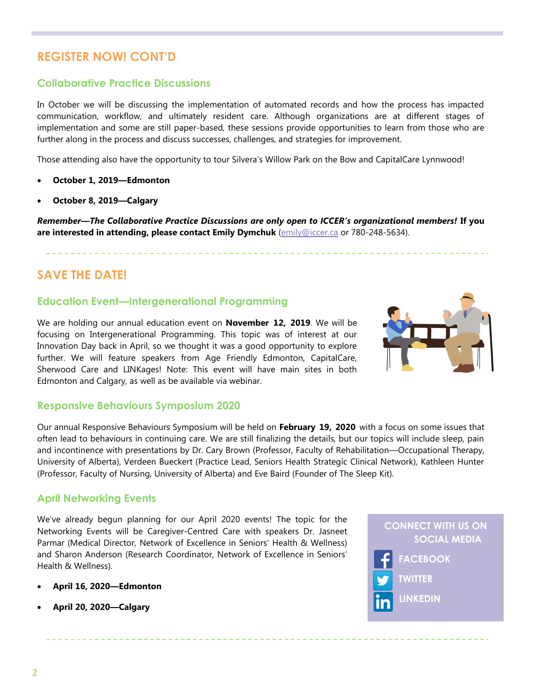# **REGISTER NOW! CONT'D**

#### **Collaborative Practice Discussions**

In October we will be discussing the implementation of automated records and how the process has impacted communication, workflow, and ultimately resident care. Although organizations are at different stages of implementation and some are still paper-based, these sessions provide opportunities to learn from those who are further along in the process and discuss successes, challenges, and strategies for improvement.

Those attending also have the opportunity to tour Silvera's Willow Park on the Bow and CapitalCare Lynnwood!

- **October 1, 2019—Edmonton**
- **October 8, 2019—Calgary**

*Remember—The Collaborative Practice Discussions are only open to ICCER's organizational members!* **If you are interested in attending, please contact Emily Dymchuk** ([emily@iccer.ca](mailto:emily@iccer.ca) or 780-248-5634).

## **SAVE THE DATE!**

#### **Education Event—Intergenerational Programming**

We are holding our annual education event on **November 12, 2019**. We will be focusing on Intergenerational Programming. This topic was of interest at our Innovation Day back in April, so we thought it was a good opportunity to explore further. We will feature speakers from Age Friendly Edmonton, CapitalCare, Sherwood Care and LINKages! Note: This event will have main sites in both Edmonton and Calgary, as well as be available via webinar.



#### **Responsive Behaviours Symposium 2020**

Our annual Responsive Behaviours Symposium will be held on **February 19, 2020** with a focus on some issues that often lead to behaviours in continuing care. We are still finalizing the details, but our topics will include sleep, pain and incontinence with presentations by Dr. Cary Brown (Professor, Faculty of Rehabilitation—Occupational Therapy, University of Alberta), Verdeen Bueckert (Practice Lead, Seniors Health Strategic Clinical Network), Kathleen Hunter (Professor, Faculty of Nursing, University of Alberta) and Eve Baird (Founder of The Sleep Kit).

#### **April Networking Events**

We've already begun planning for our April 2020 events! The topic for the Networking Events will be Caregiver-Centred Care with speakers Dr. Jasneet Parmar (Medical Director, Network of Excellence in Seniors' Health & Wellness) and Sharon Anderson (Research Coordinator, Network of Excellence in Seniors' Health & Wellness).

- **April 16, 2020—Edmonton**
- **April 20, 2020—Calgary**

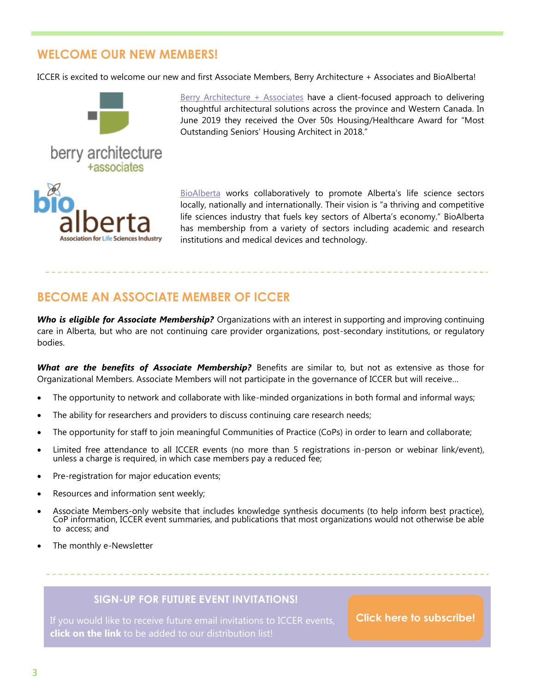## **WELCOME OUR NEW MEMBERS!**

ICCER is excited to welcome our new and first Associate Members, Berry Architecture + Associates and BioAlberta!



[Berry Architecture + Associates](http://www.berryarchitecture.ca/) have a client-focused approach to delivering thoughtful architectural solutions across the province and Western Canada. In June 2019 they received the Over 50s Housing/Healthcare Award for "Most Outstanding Seniors' Housing Architect in 2018."

[BioAlberta](https://www.bioalberta.com/) works collaboratively to promote Alberta's life science sectors locally, nationally and internationally. Their vision is "a thriving and competitive life sciences industry that fuels key sectors of Alberta's economy." BioAlberta has membership from a variety of sectors including academic and research institutions and medical devices and technology.

# **BECOME AN ASSOCIATE MEMBER OF ICCER**

*Who is eligible for Associate Membership?* Organizations with an interest in supporting and improving continuing care in Alberta, but who are not continuing care provider organizations, post-secondary institutions, or regulatory bodies.

*What are the benefits of Associate Membership?* Benefits are similar to, but not as extensive as those for Organizational Members. Associate Members will not participate in the governance of ICCER but will receive…

- The opportunity to network and collaborate with like-minded organizations in both formal and informal ways;
- The ability for researchers and providers to discuss continuing care research needs;
- The opportunity for staff to join meaningful Communities of Practice (CoPs) in order to learn and collaborate;
- Limited free attendance to all ICCER events (no more than 5 registrations in-person or webinar link/event), unless a charge is required, in which case members pay a reduced fee;
- Pre-registration for major education events;
- Resources and information sent weekly;
- Associate Members-only website that includes knowledge synthesis documents (to help inform best practice), CoP information, ICCER event summaries, and publications that most organizations would not otherwise be able to access; and
- The monthly e-Newsletter

#### **SIGN-UP FOR FUTURE EVENT INVITATIONS!**

If you would like to receive future email invitations to ICCER events, **click on the link** to be added to our distribution list!

**[Click here to subscribe!](https://visitor.r20.constantcontact.com/manage/optin?v=001MqUcqqvjwLD850nipaor0HtdI1Y9d8ED2u9ivDzRV7Gp5uTyf2p54vfsufOQXL7BcGZnnLM-9yRAw3TIqncd_CNV4yZzfE9gE8XUs-KE6So%3D)**